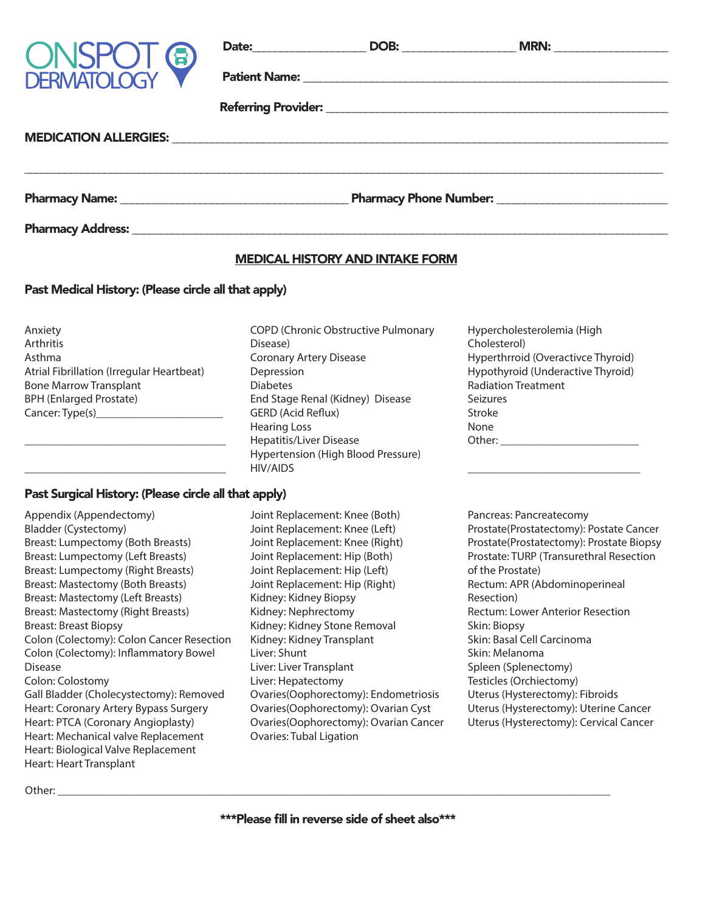

|                     | Date: and the state of the state of the state of the state of the state of the state of the state of the state of the state of the state of the state of the state of the state of the state of the state of the state of the | DOB:                                                   | MRN: |
|---------------------|-------------------------------------------------------------------------------------------------------------------------------------------------------------------------------------------------------------------------------|--------------------------------------------------------|------|
| <b>ONSPOT &amp;</b> |                                                                                                                                                                                                                               |                                                        |      |
|                     |                                                                                                                                                                                                                               |                                                        |      |
|                     |                                                                                                                                                                                                                               |                                                        |      |
|                     |                                                                                                                                                                                                                               |                                                        |      |
|                     |                                                                                                                                                                                                                               | Pharmacy Phone Number: National Pharmacy Phone Number: |      |
|                     |                                                                                                                                                                                                                               |                                                        |      |

Pharmacy Address:

## MEDICAL HISTORY AND INTAKE FORM

## Past Medical History: (Please circle all that apply)

Anxiety Arthritis Asthma Atrial Fibrillation (Irregular Heartbeat) Bone Marrow Transplant BPH (Enlarged Prostate) Cancer: Type(s)\_\_\_\_\_\_\_\_\_\_\_\_\_\_\_\_\_\_\_\_\_\_

\_\_\_\_\_\_\_\_\_\_\_\_\_\_\_\_\_\_\_\_\_\_\_\_\_\_\_\_\_\_\_\_\_\_\_

\_\_\_\_\_\_\_\_\_\_\_\_\_\_\_\_\_\_\_\_\_\_\_\_\_\_\_\_\_\_\_\_\_\_\_

## Past Surgical History: (Please circle all that apply)

Appendix (Appendectomy) Bladder (Cystectomy) Breast: Lumpectomy (Both Breasts) Breast: Lumpectomy (Left Breasts) Breast: Lumpectomy (Right Breasts) Breast: Mastectomy (Both Breasts) Breast: Mastectomy (Left Breasts) Breast: Mastectomy (Right Breasts) Breast: Breast Biopsy Colon (Colectomy): Colon Cancer Resection Colon (Colectomy): Inflammatory Bowel Disease Colon: Colostomy Gall Bladder (Cholecystectomy): Removed Heart: Coronary Artery Bypass Surgery Heart: PTCA (Coronary Angioplasty) Heart: Mechanical valve Replacement Heart: Biological Valve Replacement Heart: Heart Transplant

COPD (Chronic Obstructive Pulmonary Disease) Coronary Artery Disease Depression Diabetes End Stage Renal (Kidney) Disease GERD (Acid Reflux) Hearing Loss Hepatitis/Liver Disease Hypertension (High Blood Pressure) HIV/AIDS

Hypercholesterolemia (High Cholesterol) Hyperthrroid (Overactivce Thyroid) Hypothyroid (Underactive Thyroid) Radiation Treatment Seizures Stroke None Other: \_\_\_\_\_\_\_\_\_\_\_\_\_\_\_\_\_\_\_\_\_\_\_\_

\_\_\_\_\_\_\_\_\_\_\_\_\_\_\_\_\_\_\_\_\_\_\_\_\_\_\_\_\_\_

Joint Replacement: Knee (Both) Joint Replacement: Knee (Left) Joint Replacement: Knee (Right) Joint Replacement: Hip (Both) Joint Replacement: Hip (Left) Joint Replacement: Hip (Right) Kidney: Kidney Biopsy Kidney: Nephrectomy Kidney: Kidney Stone Removal Kidney: Kidney Transplant Liver: Shunt Liver: Liver Transplant Liver: Hepatectomy Ovaries(Oophorectomy): Endometriosis Ovaries(Oophorectomy): Ovarian Cyst Ovaries(Oophorectomy): Ovarian Cancer Ovaries: Tubal Ligation

Pancreas: Pancreatecomy Prostate(Prostatectomy): Postate Cancer Prostate(Prostatectomy): Prostate Biopsy Prostate: TURP (Transurethral Resection of the Prostate) Rectum: APR (Abdominoperineal Resection) Rectum: Lower Anterior Resection Skin: Biopsy Skin: Basal Cell Carcinoma Skin: Melanoma Spleen (Splenectomy) Testicles (Orchiectomy) Uterus (Hysterectomy): Fibroids Uterus (Hysterectomy): Uterine Cancer Uterus (Hysterectomy): Cervical Cancer

Other: \_\_\_\_\_\_\_\_\_\_\_\_\_\_\_\_\_\_\_\_\_\_\_\_\_\_\_\_\_\_\_\_\_\_\_\_\_\_\_\_\_\_\_\_\_\_\_\_\_\_\_\_\_\_\_\_\_\_\_\_\_\_\_\_\_\_\_\_\_\_\_\_\_\_\_\_\_\_\_\_\_\_\_\_\_\_\_\_\_\_\_\_\_\_\_\_